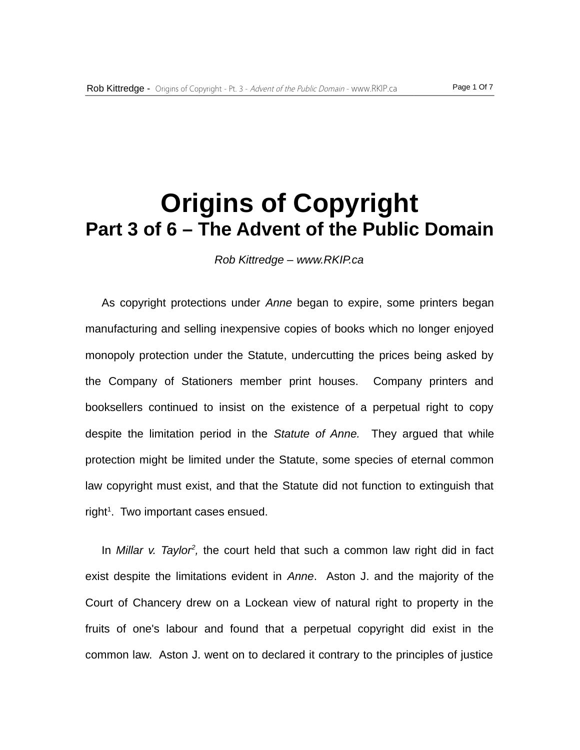## **Origins of Copyright Part 3 of 6 – The Advent of the Public Domain**

*Rob Kittredge – www.RKIP.ca*

As copyright protections under *Anne* began to expire, some printers began manufacturing and selling inexpensive copies of books which no longer enjoyed monopoly protection under the Statute, undercutting the prices being asked by the Company of Stationers member print houses. Company printers and booksellers continued to insist on the existence of a perpetual right to copy despite the limitation period in the *Statute of Anne.* They argued that while protection might be limited under the Statute, some species of eternal common law copyright must exist, and that the Statute did not function to extinguish that  $right<sup>1</sup>$ . Two important cases ensued.

In *Millar v. Taylor<sup>2</sup>*, the court held that such a common law right did in fact exist despite the limitations evident in *Anne*. Aston J. and the majority of the Court of Chancery drew on a Lockean view of natural right to property in the fruits of one's labour and found that a perpetual copyright did exist in the common law. Aston J. went on to declared it contrary to the principles of justice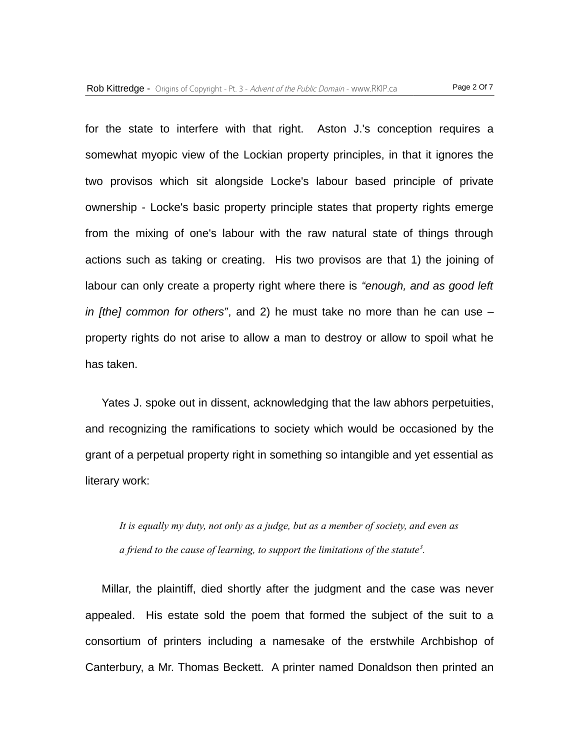for the state to interfere with that right. Aston J.'s conception requires a somewhat myopic view of the Lockian property principles, in that it ignores the two provisos which sit alongside Locke's labour based principle of private ownership - Locke's basic property principle states that property rights emerge from the mixing of one's labour with the raw natural state of things through actions such as taking or creating. His two provisos are that 1) the joining of labour can only create a property right where there is *"enough, and as good left in [the] common for others"*, and 2) he must take no more than he can use – property rights do not arise to allow a man to destroy or allow to spoil what he has taken.

Yates J. spoke out in dissent, acknowledging that the law abhors perpetuities, and recognizing the ramifications to society which would be occasioned by the grant of a perpetual property right in something so intangible and yet essential as literary work:

*It is equally my duty, not only as a judge, but as a member of society, and even as a friend to the cause of learning, to support the limitations of the statute<sup>3</sup> .*

Millar, the plaintiff, died shortly after the judgment and the case was never appealed. His estate sold the poem that formed the subject of the suit to a consortium of printers including a namesake of the erstwhile Archbishop of Canterbury, a Mr. Thomas Beckett. A printer named Donaldson then printed an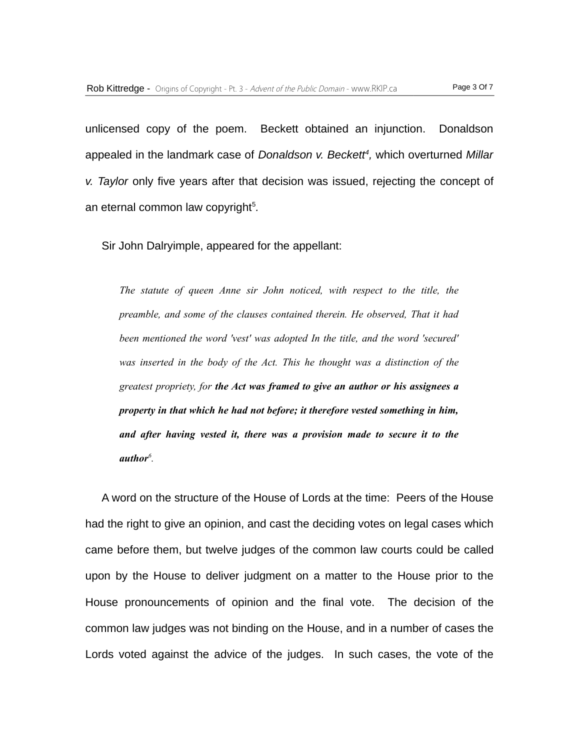unlicensed copy of the poem. Beckett obtained an injunction. Donaldson appealed in the landmark case of *Donaldson v. Beckett<sup>4</sup> ,* which overturned *Millar v. Taylor* only five years after that decision was issued, rejecting the concept of an eternal common law copyright<sup>5</sup>.

Sir John Dalryimple, appeared for the appellant:

*The statute of queen Anne sir John noticed, with respect to the title, the preamble, and some of the clauses contained therein. He observed, That it had been mentioned the word 'vest' was adopted In the title, and the word 'secured' was inserted in the body of the Act. This he thought was a distinction of the greatest propriety, for the Act was framed to give an author or his assignees a property in that which he had not before; it therefore vested something in him, and after having vested it, there was a provision made to secure it to the author<sup>6</sup> .*

A word on the structure of the House of Lords at the time: Peers of the House had the right to give an opinion, and cast the deciding votes on legal cases which came before them, but twelve judges of the common law courts could be called upon by the House to deliver judgment on a matter to the House prior to the House pronouncements of opinion and the final vote. The decision of the common law judges was not binding on the House, and in a number of cases the Lords voted against the advice of the judges. In such cases, the vote of the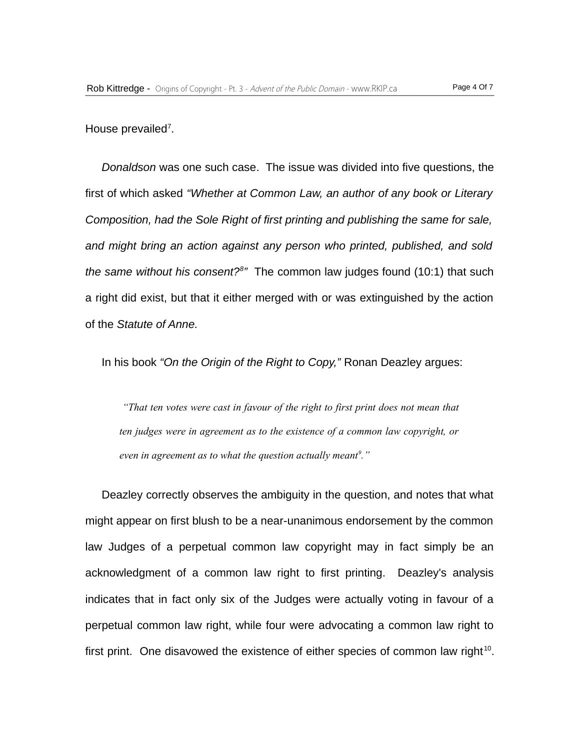House prevailed<sup>7</sup>.

*Donaldson* was one such case. The issue was divided into five questions, the first of which asked *"Whether at Common Law, an author of any book or Literary Composition, had the Sole Right of first printing and publishing the same for sale, and might bring an action against any person who printed, published, and sold the same without his consent?<sup>8</sup> "* The common law judges found (10:1) that such a right did exist, but that it either merged with or was extinguished by the action of the *Statute of Anne.*

In his book *"On the Origin of the Right to Copy,"* Ronan Deazley argues:

*"That ten votes were cast in favour of the right to first print does not mean that ten judges were in agreement as to the existence of a common law copyright, or even in agreement as to what the question actually meant<sup>9</sup> ."*

Deazley correctly observes the ambiguity in the question, and notes that what might appear on first blush to be a near-unanimous endorsement by the common law Judges of a perpetual common law copyright may in fact simply be an acknowledgment of a common law right to first printing. Deazley's analysis indicates that in fact only six of the Judges were actually voting in favour of a perpetual common law right, while four were advocating a common law right to first print. One disavowed the existence of either species of common law right $^{10}$ .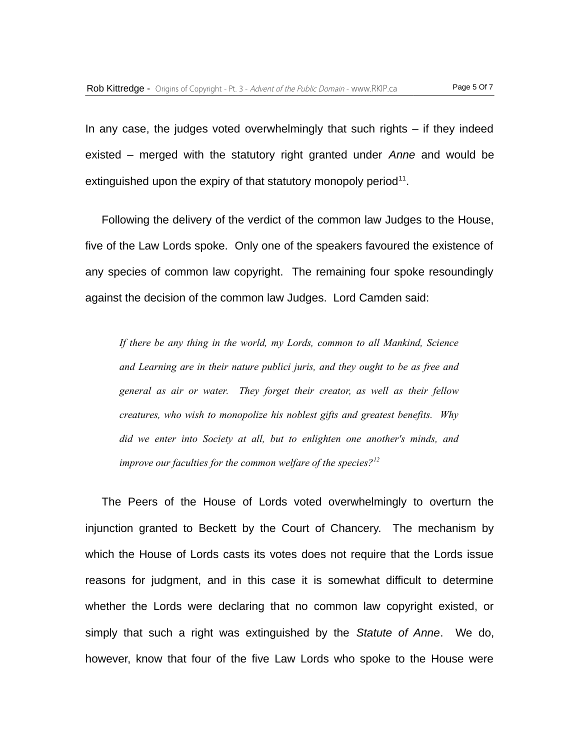In any case, the judges voted overwhelmingly that such rights – if they indeed existed – merged with the statutory right granted under *Anne* and would be extinguished upon the expiry of that statutory monopoly period $^{11}$ .

Following the delivery of the verdict of the common law Judges to the House, five of the Law Lords spoke. Only one of the speakers favoured the existence of any species of common law copyright. The remaining four spoke resoundingly against the decision of the common law Judges. Lord Camden said:

*If there be any thing in the world, my Lords, common to all Mankind, Science and Learning are in their nature publici juris, and they ought to be as free and general as air or water. They forget their creator, as well as their fellow creatures, who wish to monopolize his noblest gifts and greatest benefits. Why did we enter into Society at all, but to enlighten one another's minds, and improve our faculties for the common welfare of the species?<sup>12</sup>*

The Peers of the House of Lords voted overwhelmingly to overturn the injunction granted to Beckett by the Court of Chancery. The mechanism by which the House of Lords casts its votes does not require that the Lords issue reasons for judgment, and in this case it is somewhat difficult to determine whether the Lords were declaring that no common law copyright existed, or simply that such a right was extinguished by the *Statute of Anne*. We do, however, know that four of the five Law Lords who spoke to the House were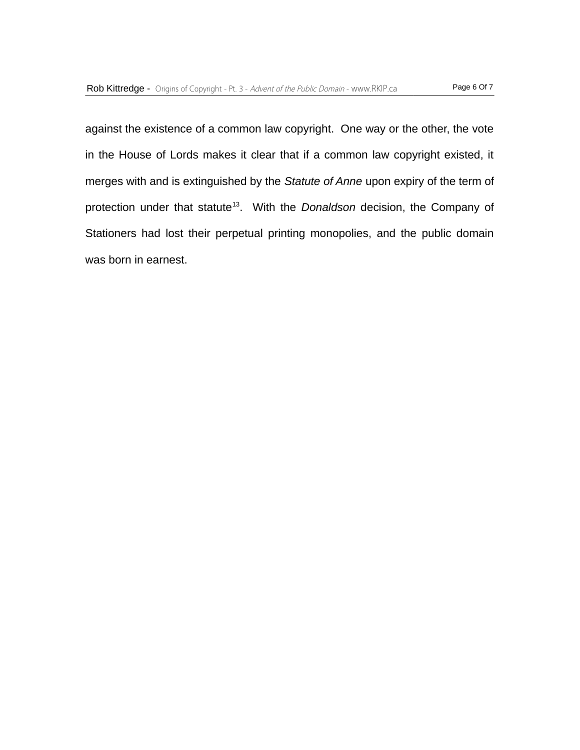against the existence of a common law copyright. One way or the other, the vote in the House of Lords makes it clear that if a common law copyright existed, it merges with and is extinguished by the *Statute of Anne* upon expiry of the term of protection under that statute<sup>13</sup>. With the *Donaldson* decision, the Company of Stationers had lost their perpetual printing monopolies, and the public domain was born in earnest.